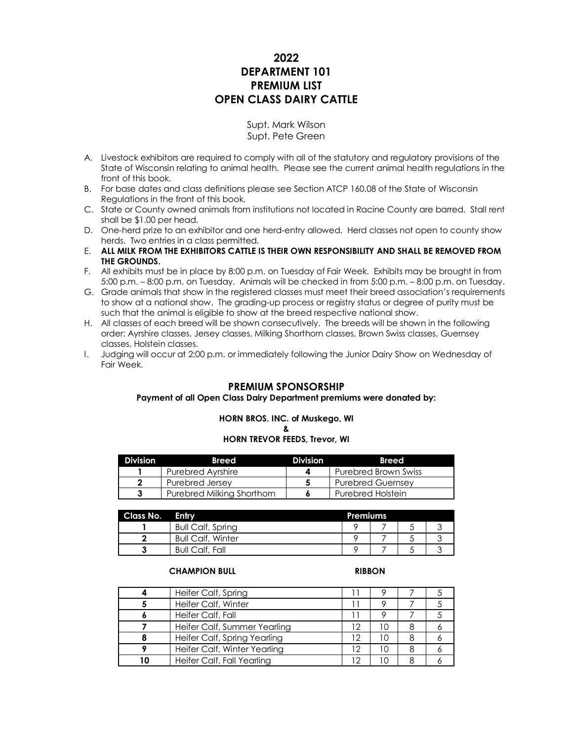# **2022 DEPARTMENT 101 PREMIUM LIST OPEN CLASS DAIRY CATTLE**

Supt. Mark Wilson Supt. Pete Green

- A. Livestock exhibitors are required to comply with all of the statutory and regulatory provisions of the State of Wisconsin relating to animal health. Please see the current animal health regulations in the front of this book.
- B. For base dates and class definitions please see Section ATCP 160.08 of the State of Wisconsin Regulations in the front of this book.
- C. State or County owned animals from institutions not located in Racine County are barred. Stall rent shall be \$1.00 per head.
- D. One-herd prize to an exhibitor and one herd-entry allowed. Herd classes not open to county show herds. Two entries in a class permitted.
- E. **ALL MILK FROM THE EXHIBITORS CATTLE IS THEIR OWN RESPONSIBILITY AND SHALL BE REMOVED FROM THE GROUNDS.**
- F. All exhibits must be in place by 8:00 p.m. on Tuesday of Fair Week. Exhibits may be brought in from 5:00 p.m. – 8:00 p.m. on Tuesday. Animals will be checked in from 5:00 p.m. – 8:00 p.m. on Tuesday.
- G. Grade animals that show in the registered classes must meet their breed association's requirements to show at a national show. The grading-up process or registry status or degree of purity must be such that the animal is eligible to show at the breed respective national show.
- H. All classes of each breed will be shown consecutively. The breeds will be shown in the following order: Ayrshire classes, Jersey classes, Milking Shorthorn classes, Brown Swiss classes, Guernsey classes, Holstein classes.
- I. Judging will occur at 2:00 p.m. or immediately following the Junior Dairy Show on Wednesday of Fair Week.

# **PREMIUM SPONSORSHIP**

### **Payment of all Open Class Dairy Department premiums were donated by:**

**HORN BROS. INC. of Muskego, WI**

**& HORN TREVOR FEEDS, Trevor, WI**

| <b>Division</b> | <b>Breed</b>               | <b>Division</b> | <b>Breed</b>                |
|-----------------|----------------------------|-----------------|-----------------------------|
|                 | <b>Purebred Avrshire</b>   |                 | <b>Purebred Brown Swiss</b> |
|                 | Purebred Jersey            |                 | <b>Purebred Guernsey</b>    |
|                 | Purebred Milking Shorthorn |                 | <b>Purebred Holstein</b>    |

| <b>Class No. Entry</b> |                          | <b>Premiums</b> |  |  |  |  |
|------------------------|--------------------------|-----------------|--|--|--|--|
|                        | <b>Bull Calf, Spring</b> |                 |  |  |  |  |
|                        | <b>Bull Calf, Winter</b> |                 |  |  |  |  |
|                        | <b>Bull Calf, Fall</b>   |                 |  |  |  |  |

### **CHAMPION BULL RIBBON**

| Heifer Calf, Spring          |  |  |
|------------------------------|--|--|
| Heifer Calf, Winter          |  |  |
| Heifer Calf, Fall            |  |  |
| Heifer Calf, Summer Yearling |  |  |
| Heifer Calf, Spring Yearling |  |  |
| Heifer Calf, Winter Yearling |  |  |
| Heifer Calf, Fall Yearling   |  |  |